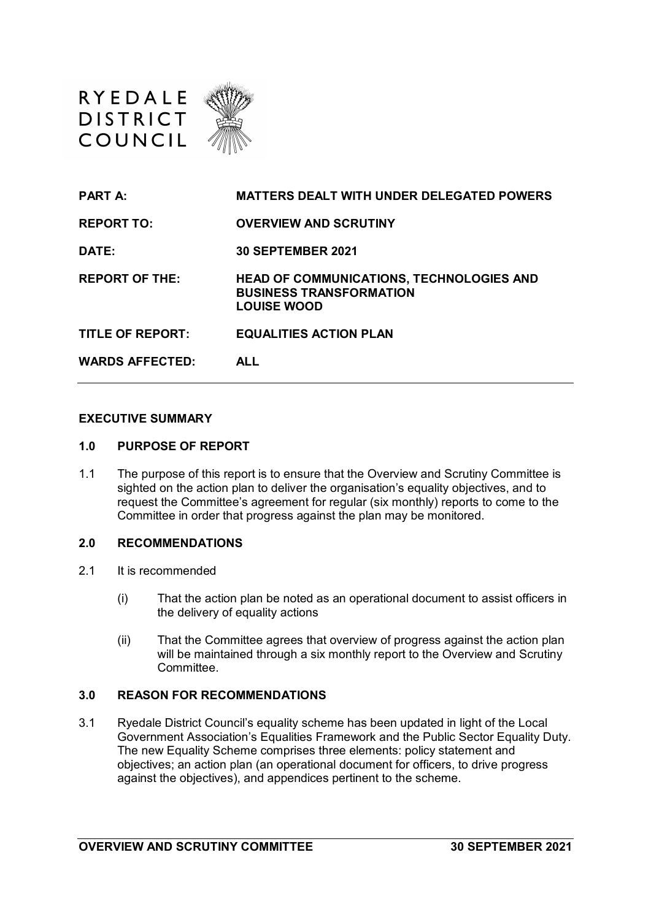

| <b>PART A:</b>          | <b>MATTERS DEALT WITH UNDER DELEGATED POWERS</b>                                                        |
|-------------------------|---------------------------------------------------------------------------------------------------------|
| <b>REPORT TO:</b>       | <b>OVERVIEW AND SCRUTINY</b>                                                                            |
| DATE:                   | <b>30 SEPTEMBER 2021</b>                                                                                |
| <b>REPORT OF THE:</b>   | <b>HEAD OF COMMUNICATIONS, TECHNOLOGIES AND</b><br><b>BUSINESS TRANSFORMATION</b><br><b>LOUISE WOOD</b> |
| <b>TITLE OF REPORT:</b> | <b>EQUALITIES ACTION PLAN</b>                                                                           |
| <b>WARDS AFFECTED:</b>  | <b>ALL</b>                                                                                              |

#### **EXECUTIVE SUMMARY**

#### **1.0 PURPOSE OF REPORT**

1.1 The purpose of this report is to ensure that the Overview and Scrutiny Committee is sighted on the action plan to deliver the organisation's equality objectives, and to request the Committee's agreement for regular (six monthly) reports to come to the Committee in order that progress against the plan may be monitored.

#### **2.0 RECOMMENDATIONS**

- 2.1 It is recommended
	- (i) That the action plan be noted as an operational document to assist officers in the delivery of equality actions
	- (ii) That the Committee agrees that overview of progress against the action plan will be maintained through a six monthly report to the Overview and Scrutiny **Committee**

#### **3.0 REASON FOR RECOMMENDATIONS**

3.1 Ryedale District Council's equality scheme has been updated in light of the Local Government Association's Equalities Framework and the Public Sector Equality Duty. The new Equality Scheme comprises three elements: policy statement and objectives; an action plan (an operational document for officers, to drive progress against the objectives), and appendices pertinent to the scheme.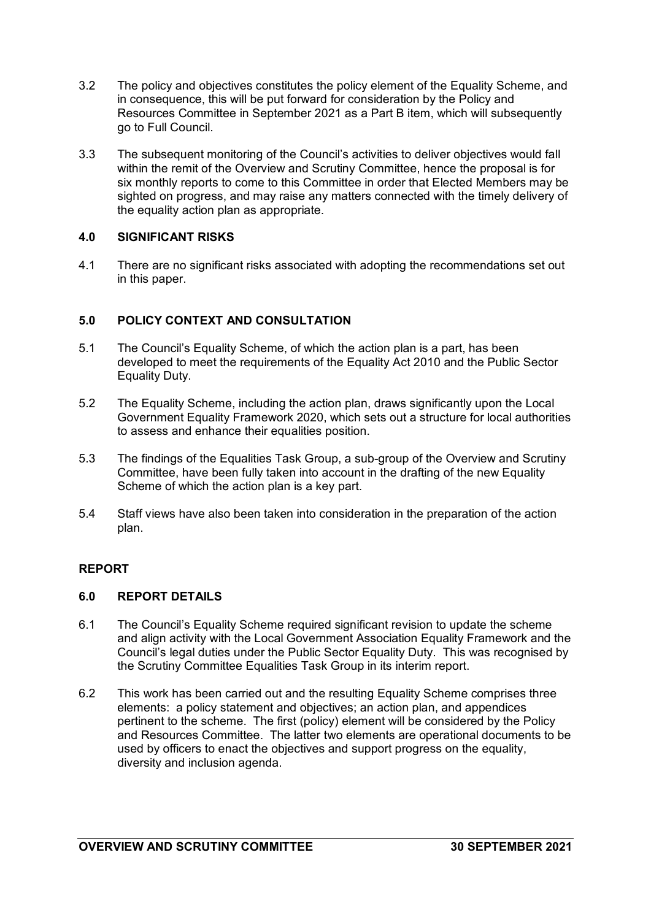- 3.2 The policy and objectives constitutes the policy element of the Equality Scheme, and in consequence, this will be put forward for consideration by the Policy and Resources Committee in September 2021 as a Part B item, which will subsequently go to Full Council.
- 3.3 The subsequent monitoring of the Council's activities to deliver objectives would fall within the remit of the Overview and Scrutiny Committee, hence the proposal is for six monthly reports to come to this Committee in order that Elected Members may be sighted on progress, and may raise any matters connected with the timely delivery of the equality action plan as appropriate.

#### **4.0 SIGNIFICANT RISKS**

4.1 There are no significant risks associated with adopting the recommendations set out in this paper.

#### **5.0 POLICY CONTEXT AND CONSULTATION**

- 5.1 The Council's Equality Scheme, of which the action plan is a part, has been developed to meet the requirements of the Equality Act 2010 and the Public Sector Equality Duty.
- 5.2 The Equality Scheme, including the action plan, draws significantly upon the Local Government Equality Framework 2020, which sets out a structure for local authorities to assess and enhance their equalities position.
- 5.3 The findings of the Equalities Task Group, a sub-group of the Overview and Scrutiny Committee, have been fully taken into account in the drafting of the new Equality Scheme of which the action plan is a key part.
- 5.4 Staff views have also been taken into consideration in the preparation of the action plan.

#### **REPORT**

#### **6.0 REPORT DETAILS**

- 6.1 The Council's Equality Scheme required significant revision to update the scheme and align activity with the Local Government Association Equality Framework and the Council's legal duties under the Public Sector Equality Duty. This was recognised by the Scrutiny Committee Equalities Task Group in its interim report.
- 6.2 This work has been carried out and the resulting Equality Scheme comprises three elements: a policy statement and objectives; an action plan, and appendices pertinent to the scheme. The first (policy) element will be considered by the Policy and Resources Committee. The latter two elements are operational documents to be used by officers to enact the objectives and support progress on the equality. diversity and inclusion agenda.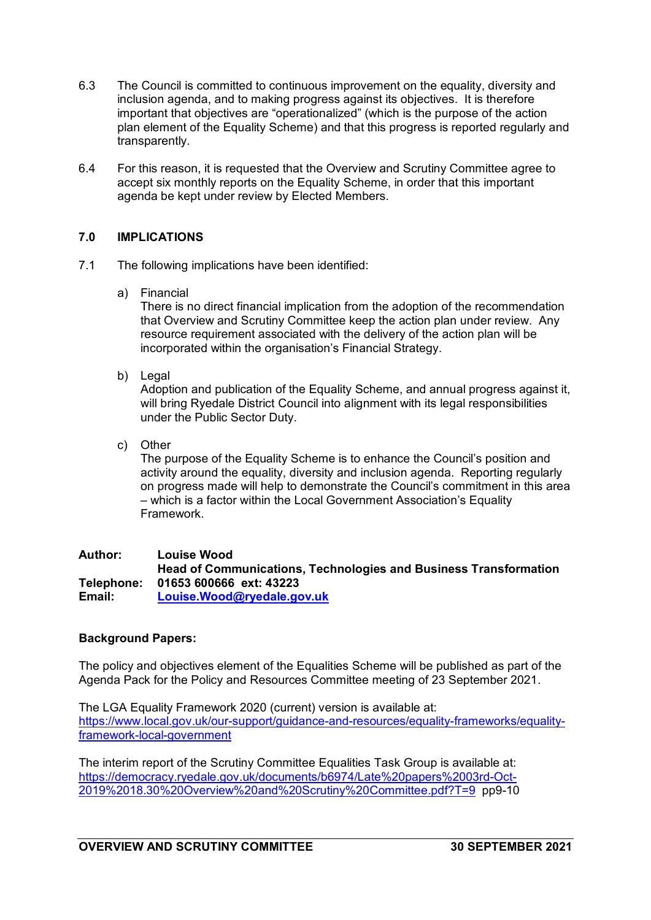- 6.3 The Council is committed to continuous improvement on the equality, diversity and inclusion agenda, and to making progress against its objectives. It is therefore important that objectives are "operationalized" (which is the purpose of the action plan element of the Equality Scheme) and that this progress is reported regularly and transparently.
- 6.4 For this reason, it is requested that the Overview and Scrutiny Committee agree to accept six monthly reports on the Equality Scheme, in order that this important agenda be kept under review by Elected Members.

#### **7.0 IMPLICATIONS**

- 7.1 The following implications have been identified:
	- a) Financial

There is no direct financial implication from the adoption of the recommendation that Overview and Scrutiny Committee keep the action plan under review. Any resource requirement associated with the delivery of the action plan will be incorporated within the organisation's Financial Strategy.

b) Legal

Adoption and publication of the Equality Scheme, and annual progress against it, will bring Ryedale District Council into alignment with its legal responsibilities under the Public Sector Duty.

c) Other

The purpose of the Equality Scheme is to enhance the Council's position and activity around the equality, diversity and inclusion agenda. Reporting regularly on progress made will help to demonstrate the Council's commitment in this area – which is a factor within the Local Government Association's Equality Framework.

#### **Author: Louise Wood Head of Communications, Technologies and Business Transformation Telephone: 01653 600666 ext: 43223 Email: [Louise.Wood@ryedale.gov.uk](mailto:Louise.Wood@ryedale.gov.uk)**

#### **Background Papers:**

The policy and objectives element of the Equalities Scheme will be published as part of the Agenda Pack for the Policy and Resources Committee meeting of 23 September 2021.

The LGA Equality Framework 2020 (current) version is available at: [https://www.local.gov.uk/our-support/guidance-and-resources/equality-frameworks/equality](https://www.local.gov.uk/our-support/guidance-and-resources/equality-frameworks/equality-framework-local-government)[framework-local-government](https://www.local.gov.uk/our-support/guidance-and-resources/equality-frameworks/equality-framework-local-government)

The interim report of the Scrutiny Committee Equalities Task Group is available at: [https://democracy.ryedale.gov.uk/documents/b6974/Late%20papers%2003rd-Oct-](https://democracy.ryedale.gov.uk/documents/b6974/Late%20papers%2003rd-Oct-2019%2018.30%20Overview%20and%20Scrutiny%20Committee.pdf?T=9)[2019%2018.30%20Overview%20and%20Scrutiny%20Committee.pdf?T=9](https://democracy.ryedale.gov.uk/documents/b6974/Late%20papers%2003rd-Oct-2019%2018.30%20Overview%20and%20Scrutiny%20Committee.pdf?T=9) pp9-10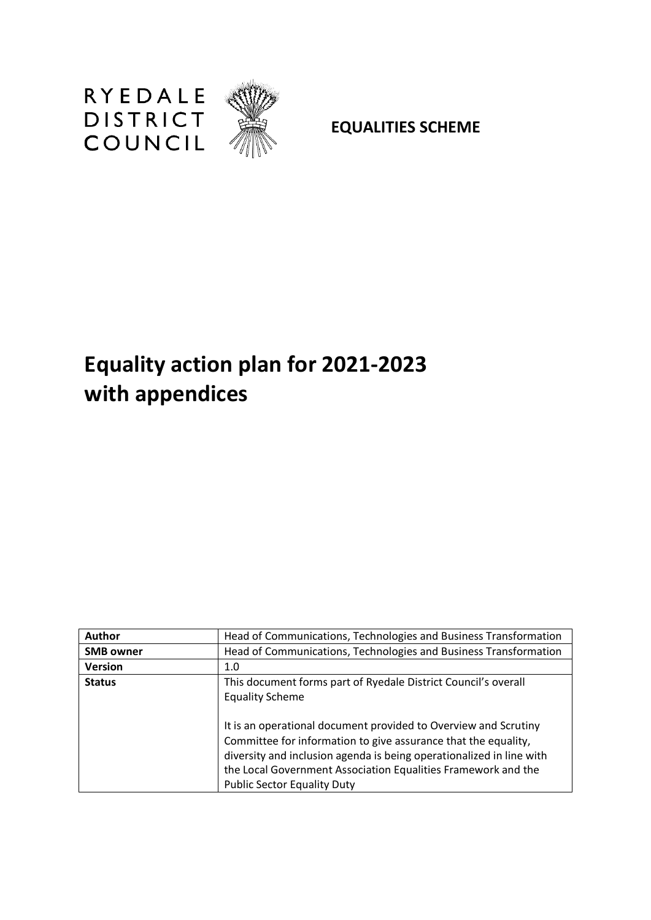

**EQUALITIES SCHEME**

# **Equality action plan for 2021-2023 with appendices**

| <b>Author</b>    | Head of Communications, Technologies and Business Transformation                                                                                                                                                              |
|------------------|-------------------------------------------------------------------------------------------------------------------------------------------------------------------------------------------------------------------------------|
| <b>SMB owner</b> | Head of Communications, Technologies and Business Transformation                                                                                                                                                              |
| <b>Version</b>   | 1.0                                                                                                                                                                                                                           |
| <b>Status</b>    | This document forms part of Ryedale District Council's overall<br><b>Equality Scheme</b><br>It is an operational document provided to Overview and Scrutiny<br>Committee for information to give assurance that the equality, |
|                  | diversity and inclusion agenda is being operationalized in line with<br>the Local Government Association Equalities Framework and the<br><b>Public Sector Equality Duty</b>                                                   |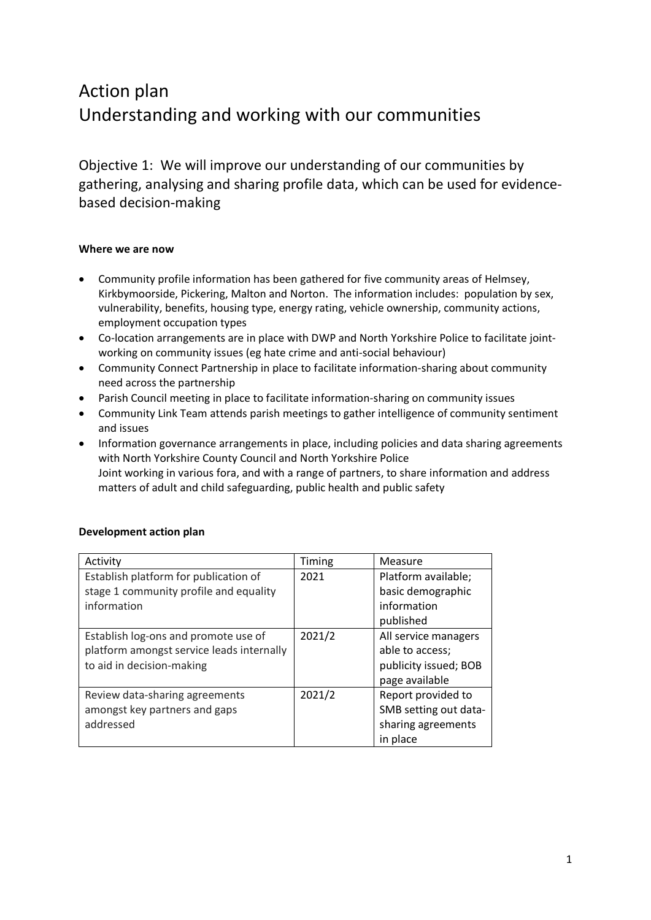## Action plan Understanding and working with our communities

Objective 1: We will improve our understanding of our communities by gathering, analysing and sharing profile data, which can be used for evidencebased decision-making

#### **Where we are now**

- Community profile information has been gathered for five community areas of Helmsey, Kirkbymoorside, Pickering, Malton and Norton. The information includes: population by sex, vulnerability, benefits, housing type, energy rating, vehicle ownership, community actions, employment occupation types
- Co-location arrangements are in place with DWP and North Yorkshire Police to facilitate jointworking on community issues (eg hate crime and anti-social behaviour)
- Community Connect Partnership in place to facilitate information-sharing about community need across the partnership
- Parish Council meeting in place to facilitate information-sharing on community issues
- Community Link Team attends parish meetings to gather intelligence of community sentiment and issues
- Information governance arrangements in place, including policies and data sharing agreements with North Yorkshire County Council and North Yorkshire Police Joint working in various fora, and with a range of partners, to share information and address matters of adult and child safeguarding, public health and public safety

| Activity                                  | Timing | Measure               |
|-------------------------------------------|--------|-----------------------|
| Establish platform for publication of     | 2021   | Platform available;   |
| stage 1 community profile and equality    |        | basic demographic     |
| information                               |        | information           |
|                                           |        | published             |
| Establish log-ons and promote use of      | 2021/2 | All service managers  |
| platform amongst service leads internally |        | able to access;       |
| to aid in decision-making                 |        | publicity issued; BOB |
|                                           |        | page available        |
| Review data-sharing agreements            | 2021/2 | Report provided to    |
| amongst key partners and gaps             |        | SMB setting out data- |
| addressed                                 |        | sharing agreements    |
|                                           |        | in place              |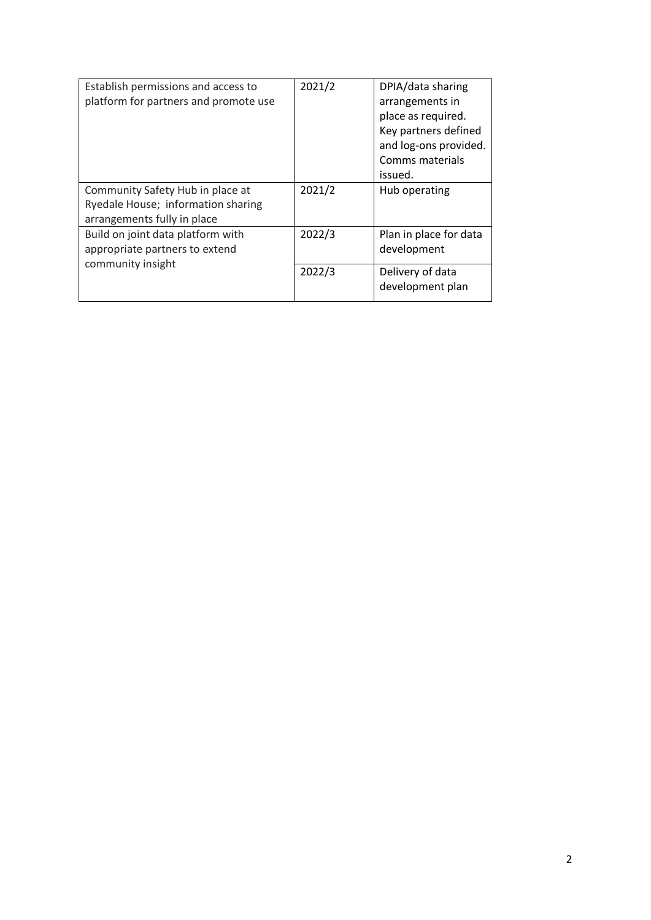| Establish permissions and access to<br>platform for partners and promote use                          | 2021/2 | DPIA/data sharing<br>arrangements in<br>place as required.<br>Key partners defined<br>and log-ons provided.<br>Comms materials<br>issued. |
|-------------------------------------------------------------------------------------------------------|--------|-------------------------------------------------------------------------------------------------------------------------------------------|
| Community Safety Hub in place at<br>Ryedale House; information sharing<br>arrangements fully in place | 2021/2 | Hub operating                                                                                                                             |
| Build on joint data platform with<br>appropriate partners to extend                                   | 2022/3 | Plan in place for data<br>development                                                                                                     |
| community insight                                                                                     | 2022/3 | Delivery of data<br>development plan                                                                                                      |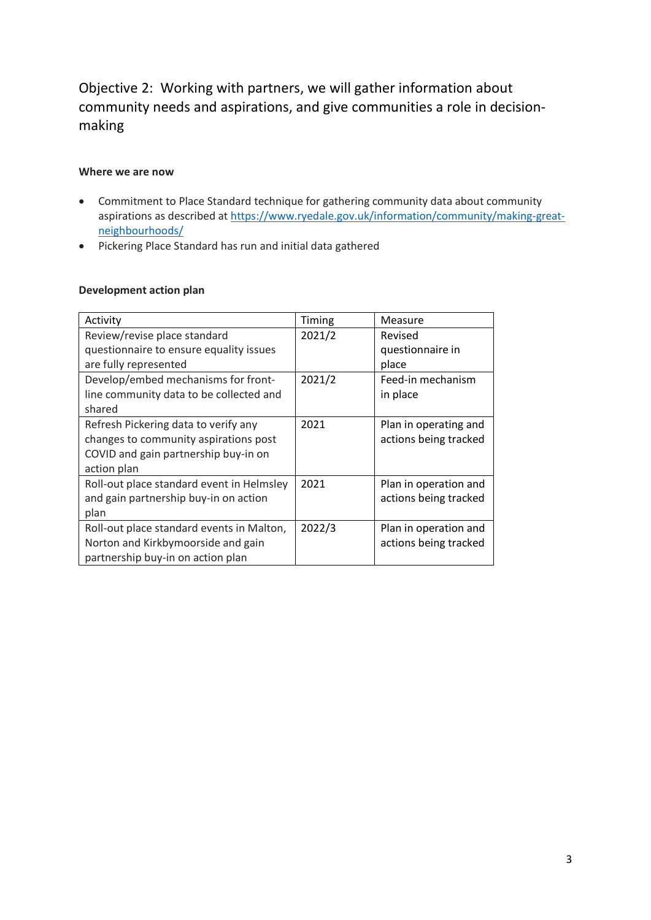### Objective 2: Working with partners, we will gather information about community needs and aspirations, and give communities a role in decisionmaking

#### **Where we are now**

- Commitment to Place Standard technique for gathering community data about community aspirations as described at [https://www.ryedale.gov.uk/information/community/making-great](https://www.ryedale.gov.uk/information/community/making-great-neighbourhoods/)[neighbourhoods/](https://www.ryedale.gov.uk/information/community/making-great-neighbourhoods/)
- Pickering Place Standard has run and initial data gathered

| Activity                                  | Timing | Measure               |
|-------------------------------------------|--------|-----------------------|
| Review/revise place standard              | 2021/2 | Revised               |
| questionnaire to ensure equality issues   |        | questionnaire in      |
| are fully represented                     |        | place                 |
| Develop/embed mechanisms for front-       | 2021/2 | Feed-in mechanism     |
| line community data to be collected and   |        | in place              |
| shared                                    |        |                       |
| Refresh Pickering data to verify any      | 2021   | Plan in operating and |
| changes to community aspirations post     |        | actions being tracked |
| COVID and gain partnership buy-in on      |        |                       |
| action plan                               |        |                       |
| Roll-out place standard event in Helmsley | 2021   | Plan in operation and |
| and gain partnership buy-in on action     |        | actions being tracked |
| plan                                      |        |                       |
| Roll-out place standard events in Malton, | 2022/3 | Plan in operation and |
| Norton and Kirkbymoorside and gain        |        | actions being tracked |
| partnership buy-in on action plan         |        |                       |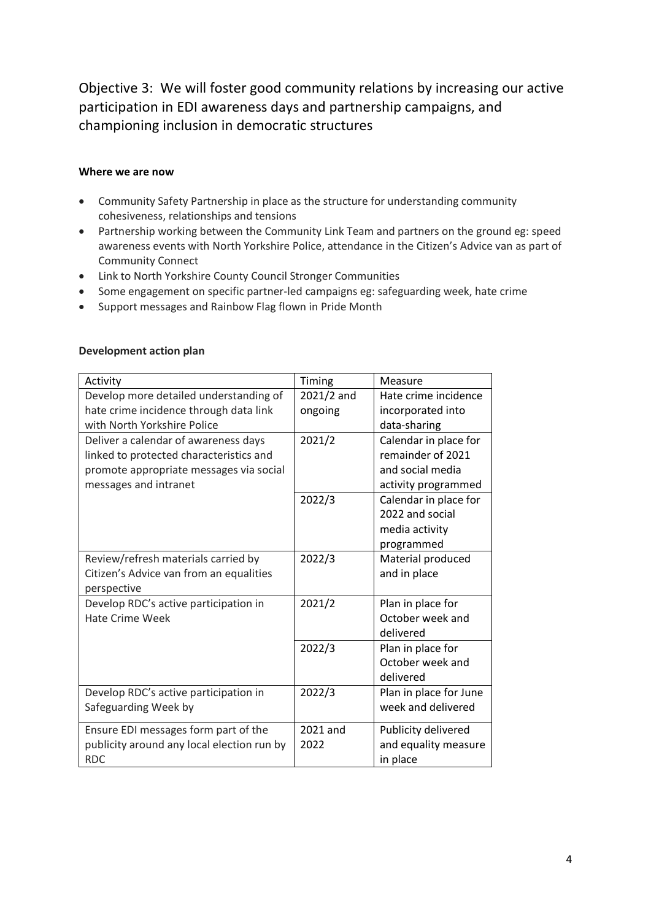Objective 3: We will foster good community relations by increasing our active participation in EDI awareness days and partnership campaigns, and championing inclusion in democratic structures

#### **Where we are now**

- Community Safety Partnership in place as the structure for understanding community cohesiveness, relationships and tensions
- Partnership working between the Community Link Team and partners on the ground eg: speed awareness events with North Yorkshire Police, attendance in the Citizen's Advice van as part of Community Connect
- Link to North Yorkshire County Council Stronger Communities
- Some engagement on specific partner-led campaigns eg: safeguarding week, hate crime
- Support messages and Rainbow Flag flown in Pride Month

| Activity                                                                                                                                            | Timing                | Measure                                                                               |
|-----------------------------------------------------------------------------------------------------------------------------------------------------|-----------------------|---------------------------------------------------------------------------------------|
| Develop more detailed understanding of<br>hate crime incidence through data link                                                                    | 2021/2 and<br>ongoing | Hate crime incidence<br>incorporated into                                             |
| with North Yorkshire Police                                                                                                                         |                       | data-sharing                                                                          |
| Deliver a calendar of awareness days<br>linked to protected characteristics and<br>promote appropriate messages via social<br>messages and intranet | 2021/2                | Calendar in place for<br>remainder of 2021<br>and social media<br>activity programmed |
|                                                                                                                                                     | 2022/3                | Calendar in place for<br>2022 and social<br>media activity<br>programmed              |
| Review/refresh materials carried by<br>Citizen's Advice van from an equalities<br>perspective                                                       | 2022/3                | Material produced<br>and in place                                                     |
| Develop RDC's active participation in<br><b>Hate Crime Week</b>                                                                                     | 2021/2                | Plan in place for<br>October week and<br>delivered                                    |
|                                                                                                                                                     | 2022/3                | Plan in place for<br>October week and<br>delivered                                    |
| Develop RDC's active participation in<br>Safeguarding Week by                                                                                       | 2022/3                | Plan in place for June<br>week and delivered                                          |
| Ensure EDI messages form part of the<br>publicity around any local election run by<br><b>RDC</b>                                                    | 2021 and<br>2022      | Publicity delivered<br>and equality measure<br>in place                               |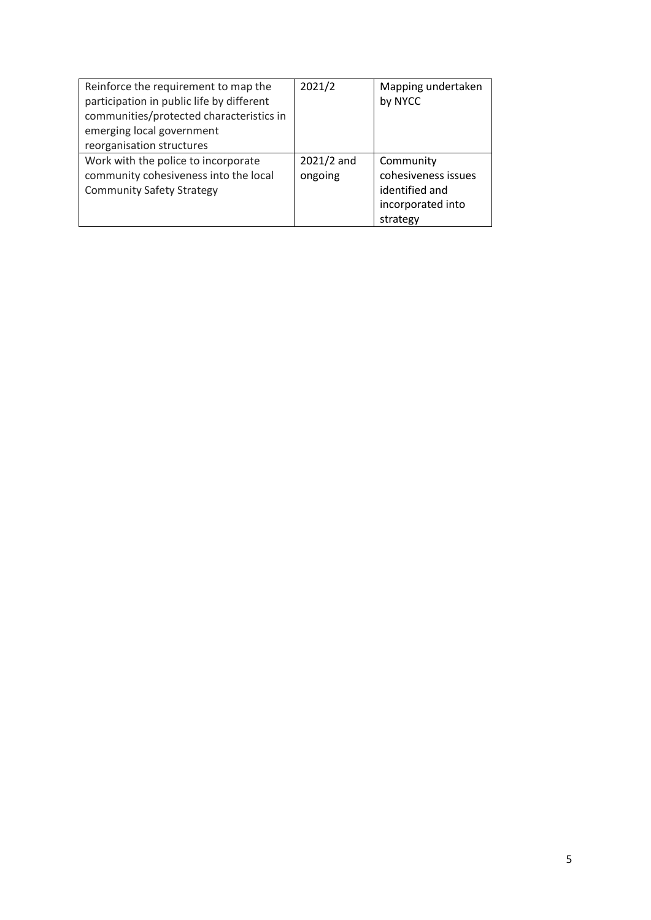| Reinforce the requirement to map the<br>participation in public life by different<br>communities/protected characteristics in<br>emerging local government<br>reorganisation structures | 2021/2                  | Mapping undertaken<br>by NYCC                                                       |
|-----------------------------------------------------------------------------------------------------------------------------------------------------------------------------------------|-------------------------|-------------------------------------------------------------------------------------|
| Work with the police to incorporate<br>community cohesiveness into the local<br><b>Community Safety Strategy</b>                                                                        | $2021/2$ and<br>ongoing | Community<br>cohesiveness issues<br>identified and<br>incorporated into<br>strategy |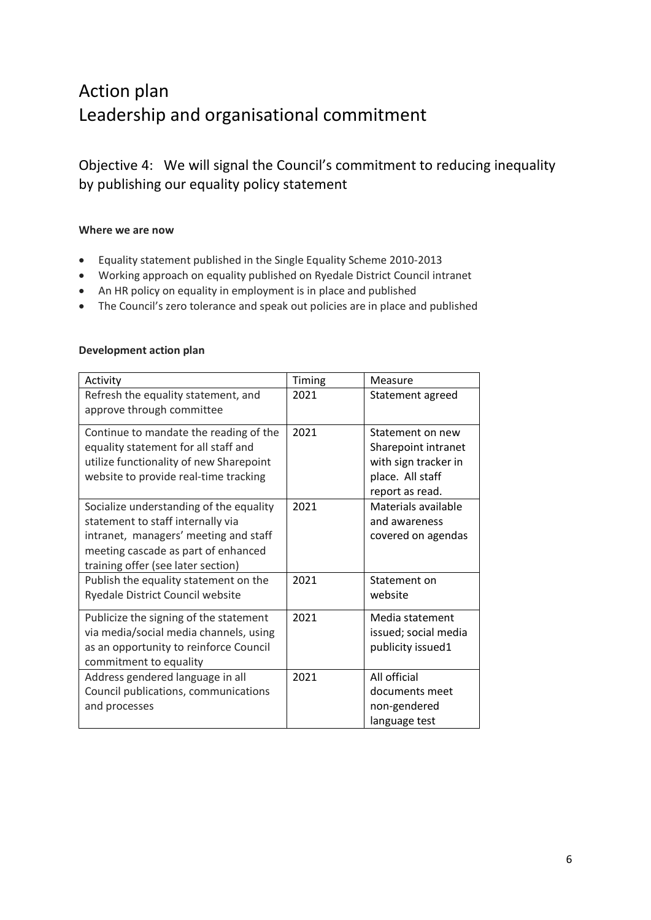## Action plan Leadership and organisational commitment

Objective 4: We will signal the Council's commitment to reducing inequality by publishing our equality policy statement

#### **Where we are now**

- Equality statement published in the Single Equality Scheme 2010-2013
- Working approach on equality published on Ryedale District Council intranet
- An HR policy on equality in employment is in place and published
- The Council's zero tolerance and speak out policies are in place and published

| Activity                                                                                                                                                                                           | Timing | Measure                                                                                                |
|----------------------------------------------------------------------------------------------------------------------------------------------------------------------------------------------------|--------|--------------------------------------------------------------------------------------------------------|
| Refresh the equality statement, and<br>approve through committee                                                                                                                                   | 2021   | Statement agreed                                                                                       |
| Continue to mandate the reading of the<br>equality statement for all staff and<br>utilize functionality of new Sharepoint<br>website to provide real-time tracking                                 | 2021   | Statement on new<br>Sharepoint intranet<br>with sign tracker in<br>place. All staff<br>report as read. |
| Socialize understanding of the equality<br>statement to staff internally via<br>intranet, managers' meeting and staff<br>meeting cascade as part of enhanced<br>training offer (see later section) | 2021   | Materials available<br>and awareness<br>covered on agendas                                             |
| Publish the equality statement on the<br>Ryedale District Council website                                                                                                                          | 2021   | Statement on<br>website                                                                                |
| Publicize the signing of the statement<br>via media/social media channels, using<br>as an opportunity to reinforce Council<br>commitment to equality                                               | 2021   | Media statement<br>issued; social media<br>publicity issued1                                           |
| Address gendered language in all<br>Council publications, communications<br>and processes                                                                                                          | 2021   | All official<br>documents meet<br>non-gendered<br>language test                                        |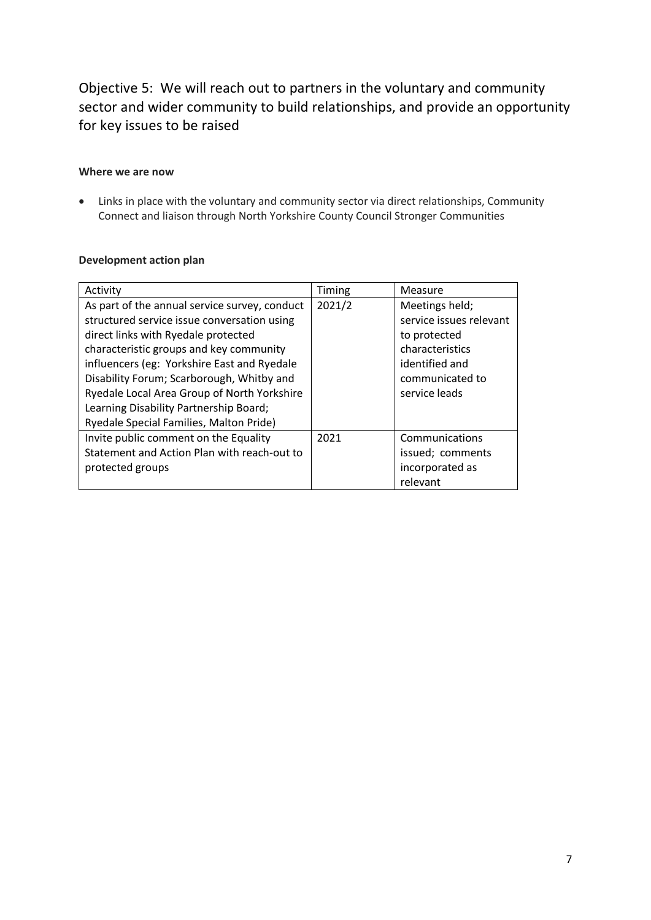Objective 5: We will reach out to partners in the voluntary and community sector and wider community to build relationships, and provide an opportunity for key issues to be raised

#### **Where we are now**

• Links in place with the voluntary and community sector via direct relationships, Community Connect and liaison through North Yorkshire County Council Stronger Communities

|  | Development action plan |  |  |
|--|-------------------------|--|--|
|--|-------------------------|--|--|

| Activity                                      | Timing | Measure                 |
|-----------------------------------------------|--------|-------------------------|
| As part of the annual service survey, conduct | 2021/2 | Meetings held;          |
| structured service issue conversation using   |        | service issues relevant |
| direct links with Ryedale protected           |        | to protected            |
| characteristic groups and key community       |        | characteristics         |
| influencers (eg: Yorkshire East and Ryedale   |        | identified and          |
| Disability Forum; Scarborough, Whitby and     |        | communicated to         |
| Ryedale Local Area Group of North Yorkshire   |        | service leads           |
| Learning Disability Partnership Board;        |        |                         |
| Ryedale Special Families, Malton Pride)       |        |                         |
| Invite public comment on the Equality         | 2021   | Communications          |
| Statement and Action Plan with reach-out to   |        | issued; comments        |
| protected groups                              |        | incorporated as         |
|                                               |        | relevant                |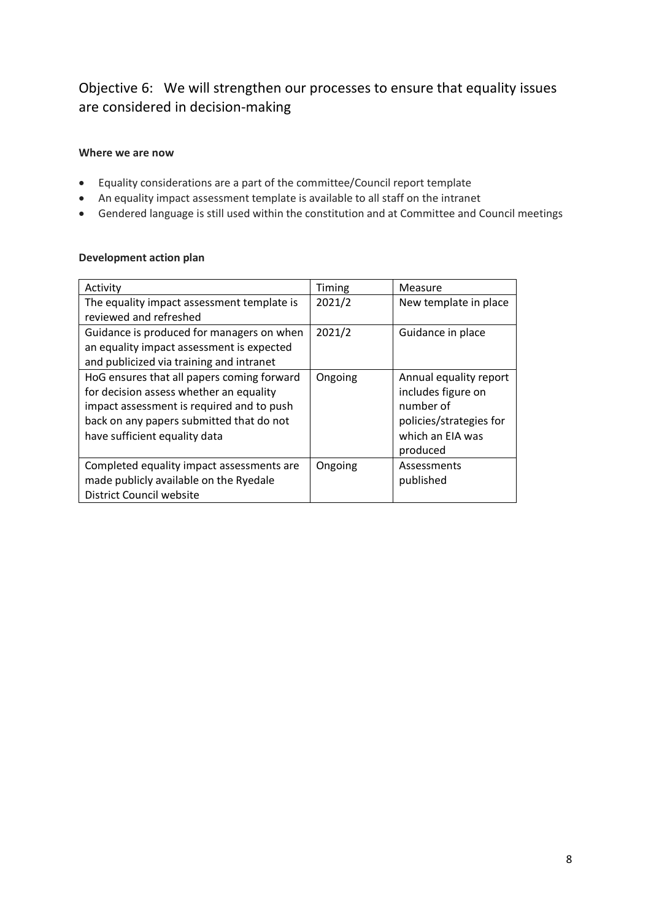### Objective 6: We will strengthen our processes to ensure that equality issues are considered in decision-making

#### **Where we are now**

- Equality considerations are a part of the committee/Council report template
- An equality impact assessment template is available to all staff on the intranet
- Gendered language is still used within the constitution and at Committee and Council meetings

| Activity                                                                                                                                                                                                        | Timing  | Measure                                                                                                  |
|-----------------------------------------------------------------------------------------------------------------------------------------------------------------------------------------------------------------|---------|----------------------------------------------------------------------------------------------------------|
| The equality impact assessment template is                                                                                                                                                                      | 2021/2  | New template in place                                                                                    |
| reviewed and refreshed                                                                                                                                                                                          |         |                                                                                                          |
| Guidance is produced for managers on when                                                                                                                                                                       | 2021/2  | Guidance in place                                                                                        |
| an equality impact assessment is expected                                                                                                                                                                       |         |                                                                                                          |
| and publicized via training and intranet                                                                                                                                                                        |         |                                                                                                          |
| HoG ensures that all papers coming forward<br>for decision assess whether an equality<br>impact assessment is required and to push<br>back on any papers submitted that do not<br>have sufficient equality data | Ongoing | Annual equality report<br>includes figure on<br>number of<br>policies/strategies for<br>which an EIA was |
|                                                                                                                                                                                                                 |         | produced                                                                                                 |
| Completed equality impact assessments are<br>made publicly available on the Ryedale                                                                                                                             | Ongoing | Assessments<br>published                                                                                 |
| District Council website                                                                                                                                                                                        |         |                                                                                                          |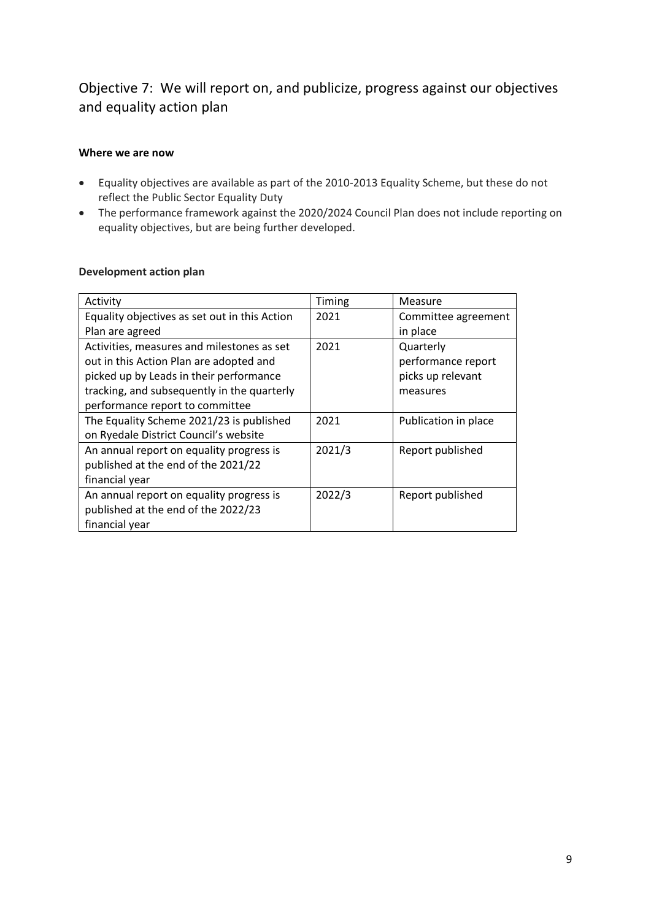### Objective 7: We will report on, and publicize, progress against our objectives and equality action plan

#### **Where we are now**

- Equality objectives are available as part of the 2010-2013 Equality Scheme, but these do not reflect the Public Sector Equality Duty
- The performance framework against the 2020/2024 Council Plan does not include reporting on equality objectives, but are being further developed.

| Activity                                      | Timing | Measure              |
|-----------------------------------------------|--------|----------------------|
| Equality objectives as set out in this Action | 2021   | Committee agreement  |
| Plan are agreed                               |        | in place             |
| Activities, measures and milestones as set    | 2021   | Quarterly            |
| out in this Action Plan are adopted and       |        | performance report   |
| picked up by Leads in their performance       |        | picks up relevant    |
| tracking, and subsequently in the quarterly   |        | measures             |
| performance report to committee               |        |                      |
| The Equality Scheme 2021/23 is published      | 2021   | Publication in place |
| on Ryedale District Council's website         |        |                      |
| An annual report on equality progress is      | 2021/3 | Report published     |
| published at the end of the 2021/22           |        |                      |
| financial year                                |        |                      |
| An annual report on equality progress is      | 2022/3 | Report published     |
| published at the end of the 2022/23           |        |                      |
| financial year                                |        |                      |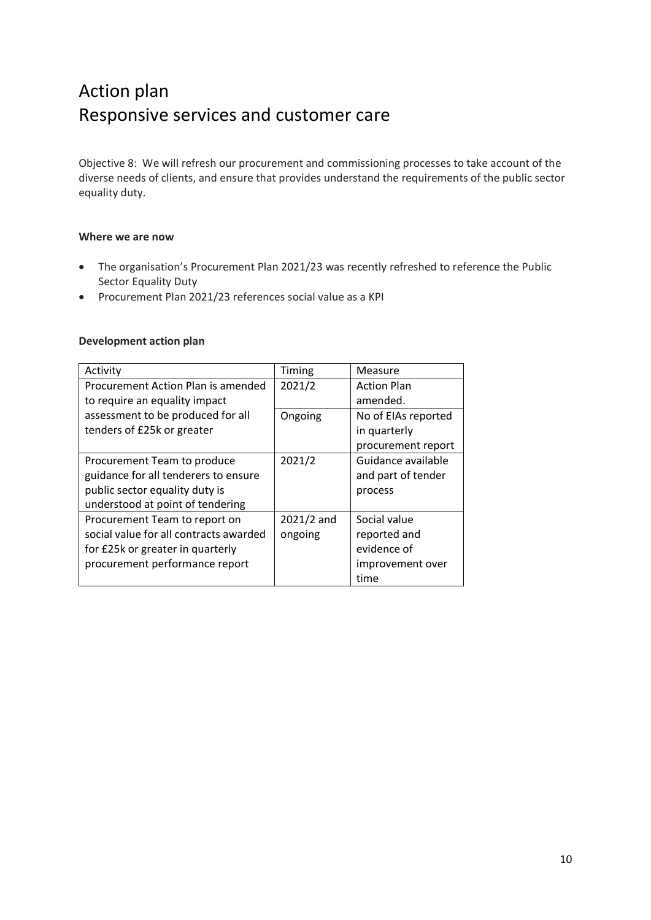## Action plan Responsive services and customer care

Objective 8: We will refresh our procurement and commissioning processes to take account of the diverse needs of clients, and ensure that provides understand the requirements of the public sector equality duty.

#### **Where we are now**

- The organisation's Procurement Plan 2021/23 was recently refreshed to reference the Public Sector Equality Duty
- Procurement Plan 2021/23 references social value as a KPI

| Activity                               | Timing     | Measure             |
|----------------------------------------|------------|---------------------|
| Procurement Action Plan is amended     | 2021/2     | <b>Action Plan</b>  |
| to require an equality impact          |            | amended.            |
| assessment to be produced for all      | Ongoing    | No of EIAs reported |
| tenders of £25k or greater             |            | in quarterly        |
|                                        |            | procurement report  |
| Procurement Team to produce            | 2021/2     | Guidance available  |
| guidance for all tenderers to ensure   |            | and part of tender  |
| public sector equality duty is         |            | process             |
| understood at point of tendering       |            |                     |
| Procurement Team to report on          | 2021/2 and | Social value        |
| social value for all contracts awarded | ongoing    | reported and        |
| for £25k or greater in quarterly       |            | evidence of         |
| procurement performance report         |            | improvement over    |
|                                        |            | time                |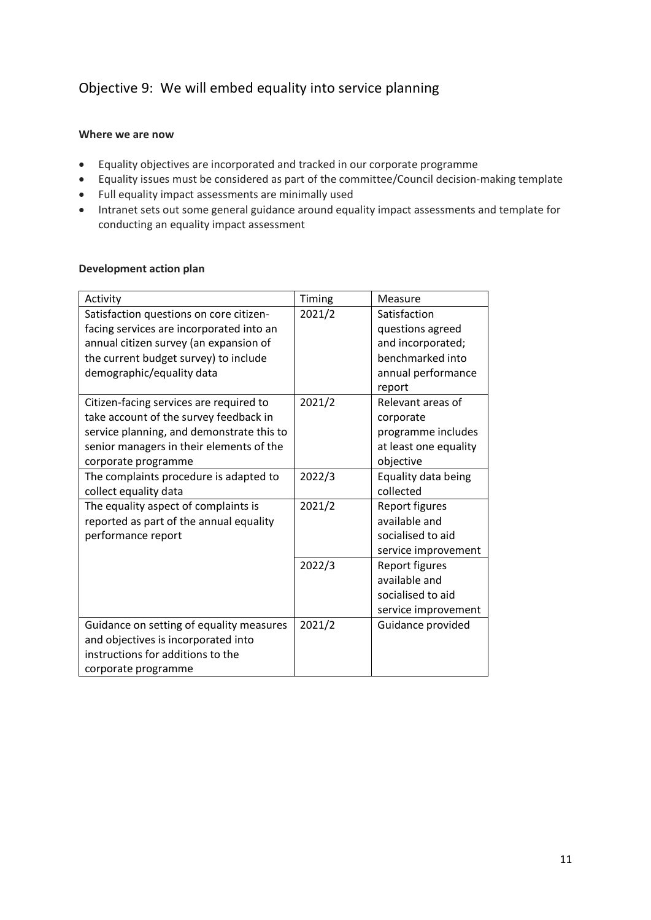### Objective 9: We will embed equality into service planning

#### **Where we are now**

- Equality objectives are incorporated and tracked in our corporate programme
- Equality issues must be considered as part of the committee/Council decision-making template
- Full equality impact assessments are minimally used
- Intranet sets out some general guidance around equality impact assessments and template for conducting an equality impact assessment

| Activity                                                                            | Timing | Measure                          |
|-------------------------------------------------------------------------------------|--------|----------------------------------|
| Satisfaction questions on core citizen-<br>facing services are incorporated into an | 2021/2 | Satisfaction<br>questions agreed |
| annual citizen survey (an expansion of                                              |        | and incorporated;                |
| the current budget survey) to include                                               |        | benchmarked into                 |
| demographic/equality data                                                           |        | annual performance<br>report     |
| Citizen-facing services are required to                                             | 2021/2 | Relevant areas of                |
| take account of the survey feedback in                                              |        | corporate                        |
| service planning, and demonstrate this to                                           |        | programme includes               |
| senior managers in their elements of the                                            |        | at least one equality            |
| corporate programme                                                                 |        | objective                        |
| The complaints procedure is adapted to                                              | 2022/3 | Equality data being              |
| collect equality data                                                               |        | collected                        |
| The equality aspect of complaints is                                                | 2021/2 | Report figures                   |
| reported as part of the annual equality                                             |        | available and                    |
| performance report                                                                  |        | socialised to aid                |
|                                                                                     |        | service improvement              |
|                                                                                     | 2022/3 | Report figures                   |
|                                                                                     |        | available and                    |
|                                                                                     |        | socialised to aid                |
|                                                                                     |        | service improvement              |
| Guidance on setting of equality measures                                            | 2021/2 | Guidance provided                |
| and objectives is incorporated into                                                 |        |                                  |
| instructions for additions to the                                                   |        |                                  |
| corporate programme                                                                 |        |                                  |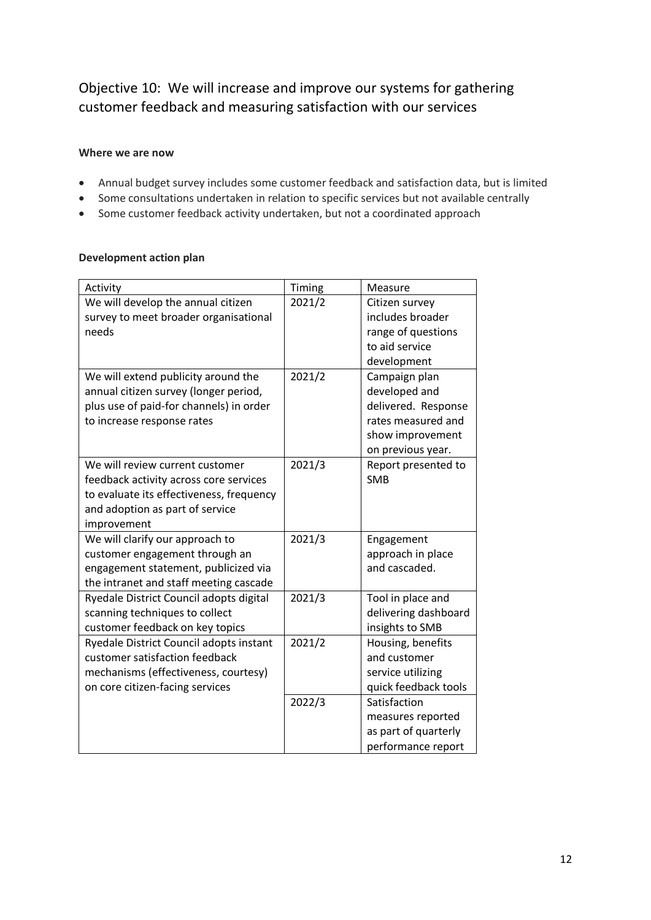### Objective 10: We will increase and improve our systems for gathering customer feedback and measuring satisfaction with our services

#### **Where we are now**

- Annual budget survey includes some customer feedback and satisfaction data, but is limited
- Some consultations undertaken in relation to specific services but not available centrally
- Some customer feedback activity undertaken, but not a coordinated approach

| Activity                                 | Timing | Measure              |
|------------------------------------------|--------|----------------------|
| We will develop the annual citizen       | 2021/2 | Citizen survey       |
| survey to meet broader organisational    |        | includes broader     |
| needs                                    |        | range of questions   |
|                                          |        | to aid service       |
|                                          |        | development          |
| We will extend publicity around the      | 2021/2 | Campaign plan        |
| annual citizen survey (longer period,    |        | developed and        |
| plus use of paid-for channels) in order  |        | delivered. Response  |
| to increase response rates               |        | rates measured and   |
|                                          |        | show improvement     |
|                                          |        | on previous year.    |
| We will review current customer          | 2021/3 | Report presented to  |
| feedback activity across core services   |        | <b>SMB</b>           |
| to evaluate its effectiveness, frequency |        |                      |
| and adoption as part of service          |        |                      |
| improvement                              |        |                      |
| We will clarify our approach to          | 2021/3 | Engagement           |
| customer engagement through an           |        | approach in place    |
| engagement statement, publicized via     |        | and cascaded.        |
| the intranet and staff meeting cascade   |        |                      |
| Ryedale District Council adopts digital  | 2021/3 | Tool in place and    |
| scanning techniques to collect           |        | delivering dashboard |
| customer feedback on key topics          |        | insights to SMB      |
| Ryedale District Council adopts instant  | 2021/2 | Housing, benefits    |
| customer satisfaction feedback           |        | and customer         |
| mechanisms (effectiveness, courtesy)     |        | service utilizing    |
| on core citizen-facing services          |        | quick feedback tools |
|                                          | 2022/3 | Satisfaction         |
|                                          |        | measures reported    |
|                                          |        | as part of quarterly |
|                                          |        | performance report   |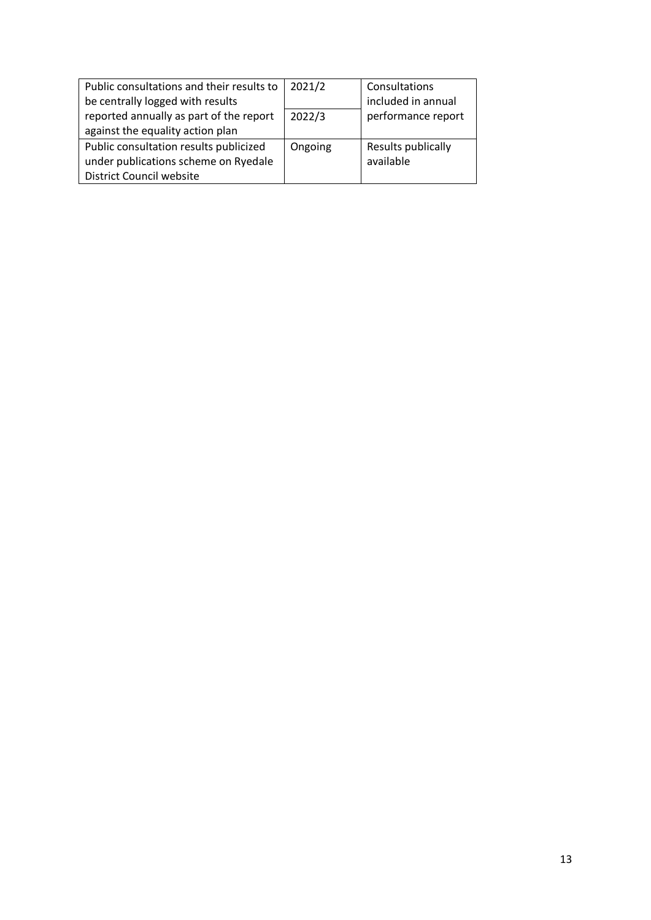| Public consultations and their results to | 2021/2  | Consultations      |
|-------------------------------------------|---------|--------------------|
| be centrally logged with results          |         | included in annual |
| reported annually as part of the report   | 2022/3  | performance report |
| against the equality action plan          |         |                    |
| Public consultation results publicized    | Ongoing | Results publically |
| under publications scheme on Ryedale      |         | available          |
| <b>District Council website</b>           |         |                    |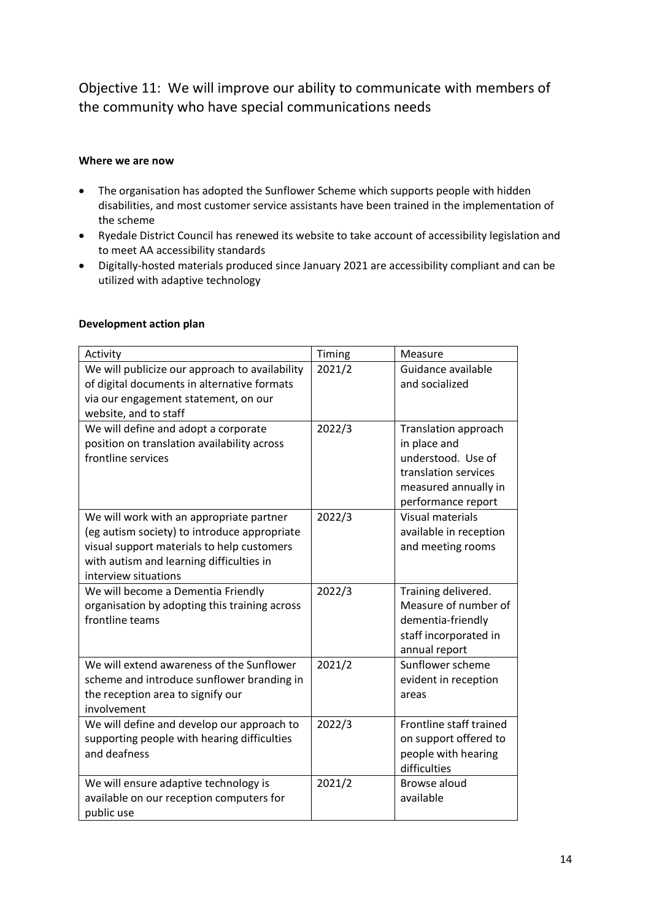Objective 11: We will improve our ability to communicate with members of the community who have special communications needs

#### **Where we are now**

- The organisation has adopted the Sunflower Scheme which supports people with hidden disabilities, and most customer service assistants have been trained in the implementation of the scheme
- Ryedale District Council has renewed its website to take account of accessibility legislation and to meet AA accessibility standards
- Digitally-hosted materials produced since January 2021 are accessibility compliant and can be utilized with adaptive technology

| Activity                                                                                                                                                                                                   | Timing | Measure                                                                                                                                 |
|------------------------------------------------------------------------------------------------------------------------------------------------------------------------------------------------------------|--------|-----------------------------------------------------------------------------------------------------------------------------------------|
| We will publicize our approach to availability<br>of digital documents in alternative formats<br>via our engagement statement, on our<br>website, and to staff                                             | 2021/2 | Guidance available<br>and socialized                                                                                                    |
| We will define and adopt a corporate<br>position on translation availability across<br>frontline services                                                                                                  | 2022/3 | <b>Translation approach</b><br>in place and<br>understood. Use of<br>translation services<br>measured annually in<br>performance report |
| We will work with an appropriate partner<br>(eg autism society) to introduce appropriate<br>visual support materials to help customers<br>with autism and learning difficulties in<br>interview situations | 2022/3 | <b>Visual materials</b><br>available in reception<br>and meeting rooms                                                                  |
| We will become a Dementia Friendly<br>organisation by adopting this training across<br>frontline teams                                                                                                     | 2022/3 | Training delivered.<br>Measure of number of<br>dementia-friendly<br>staff incorporated in<br>annual report                              |
| We will extend awareness of the Sunflower<br>scheme and introduce sunflower branding in<br>the reception area to signify our<br>involvement                                                                | 2021/2 | Sunflower scheme<br>evident in reception<br>areas                                                                                       |
| We will define and develop our approach to<br>supporting people with hearing difficulties<br>and deafness                                                                                                  | 2022/3 | Frontline staff trained<br>on support offered to<br>people with hearing<br>difficulties                                                 |
| We will ensure adaptive technology is<br>available on our reception computers for<br>public use                                                                                                            | 2021/2 | Browse aloud<br>available                                                                                                               |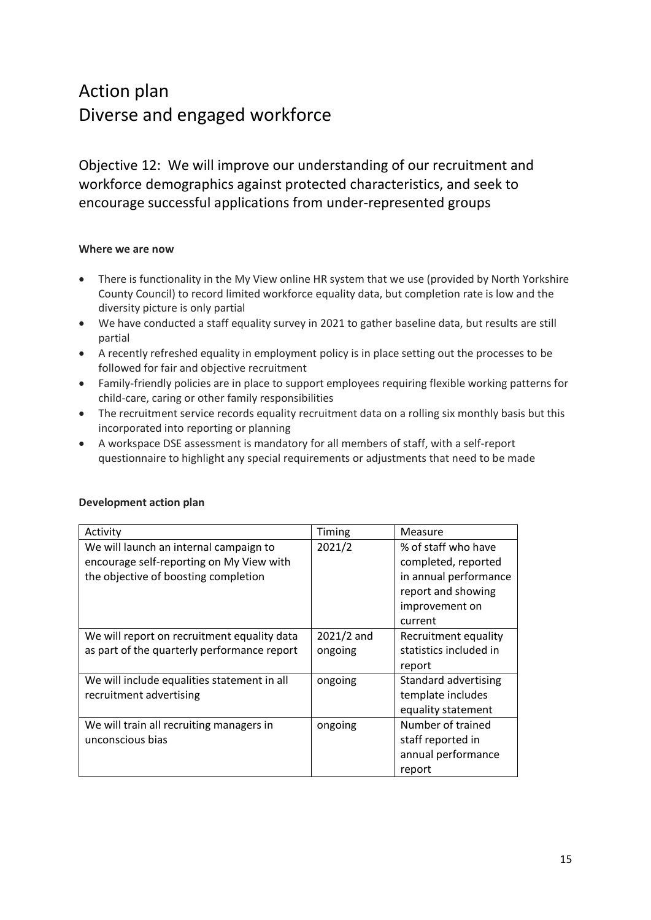## Action plan Diverse and engaged workforce

Objective 12: We will improve our understanding of our recruitment and workforce demographics against protected characteristics, and seek to encourage successful applications from under-represented groups

#### **Where we are now**

- There is functionality in the My View online HR system that we use (provided by North Yorkshire County Council) to record limited workforce equality data, but completion rate is low and the diversity picture is only partial
- We have conducted a staff equality survey in 2021 to gather baseline data, but results are still partial
- A recently refreshed equality in employment policy is in place setting out the processes to be followed for fair and objective recruitment
- Family-friendly policies are in place to support employees requiring flexible working patterns for child-care, caring or other family responsibilities
- The recruitment service records equality recruitment data on a rolling six monthly basis but this incorporated into reporting or planning
- A workspace DSE assessment is mandatory for all members of staff, with a self-report questionnaire to highlight any special requirements or adjustments that need to be made

| Activity                                                                                                                   | Timing                  | Measure                                                                                                                |
|----------------------------------------------------------------------------------------------------------------------------|-------------------------|------------------------------------------------------------------------------------------------------------------------|
| We will launch an internal campaign to<br>encourage self-reporting on My View with<br>the objective of boosting completion | 2021/2                  | % of staff who have<br>completed, reported<br>in annual performance<br>report and showing<br>improvement on<br>current |
| We will report on recruitment equality data<br>as part of the quarterly performance report                                 | $2021/2$ and<br>ongoing | Recruitment equality<br>statistics included in<br>report                                                               |
| We will include equalities statement in all<br>recruitment advertising                                                     | ongoing                 | Standard advertising<br>template includes<br>equality statement                                                        |
| We will train all recruiting managers in<br>unconscious bias                                                               | ongoing                 | Number of trained<br>staff reported in<br>annual performance<br>report                                                 |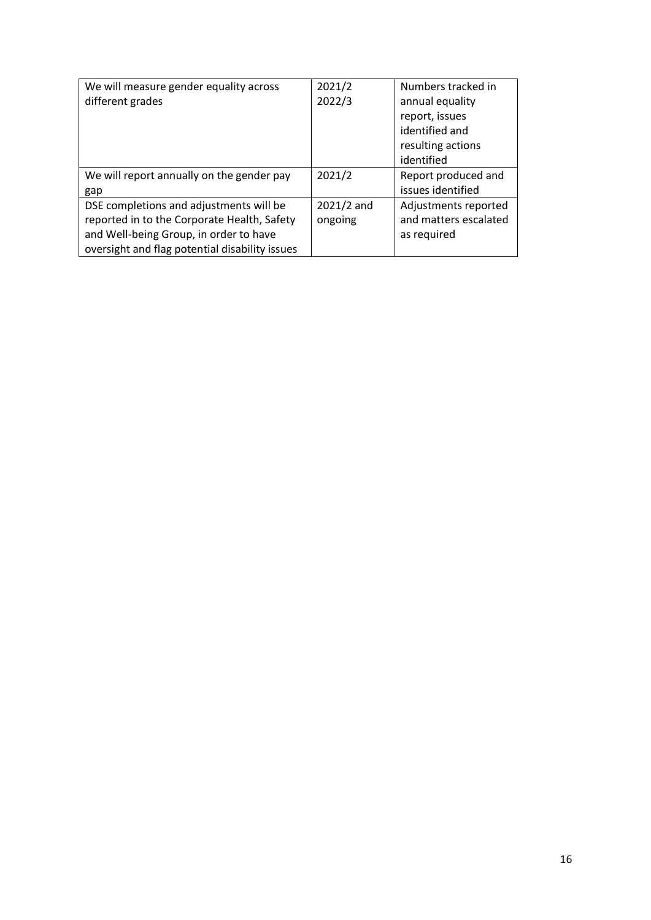| We will measure gender equality across         | 2021/2       | Numbers tracked in    |
|------------------------------------------------|--------------|-----------------------|
| different grades                               | 2022/3       | annual equality       |
|                                                |              | report, issues        |
|                                                |              | identified and        |
|                                                |              | resulting actions     |
|                                                |              | identified            |
| We will report annually on the gender pay      | 2021/2       | Report produced and   |
| gap                                            |              | issues identified     |
| DSE completions and adjustments will be        | $2021/2$ and | Adjustments reported  |
| reported in to the Corporate Health, Safety    | ongoing      | and matters escalated |
| and Well-being Group, in order to have         |              | as required           |
| oversight and flag potential disability issues |              |                       |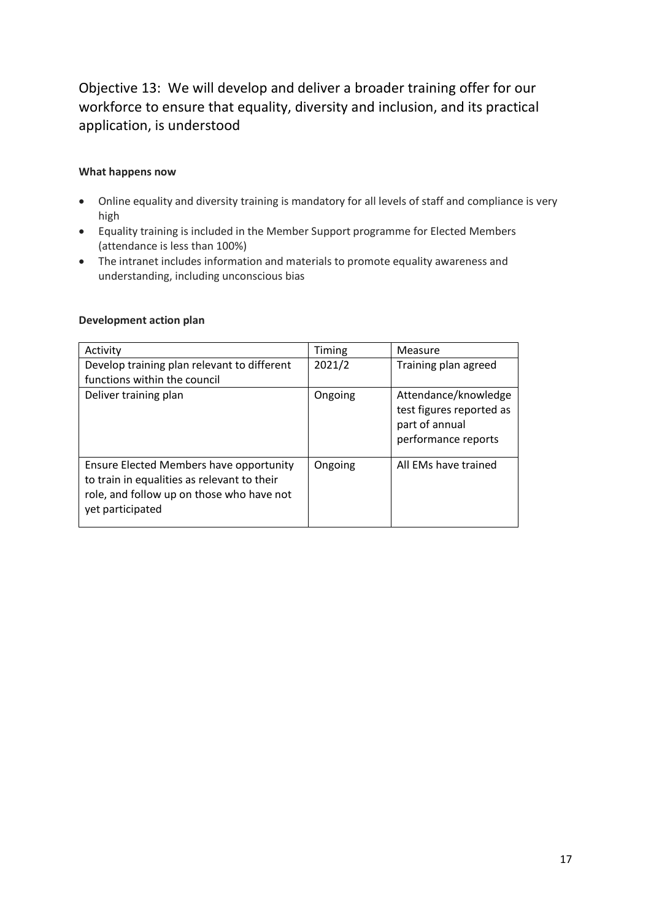### Objective 13: We will develop and deliver a broader training offer for our workforce to ensure that equality, diversity and inclusion, and its practical application, is understood

#### **What happens now**

- Online equality and diversity training is mandatory for all levels of staff and compliance is very high
- Equality training is included in the Member Support programme for Elected Members (attendance is less than 100%)
- The intranet includes information and materials to promote equality awareness and understanding, including unconscious bias

| Development action plan |  |
|-------------------------|--|
|-------------------------|--|

| Activity                                                                                                                                                       | Timing  | Measure                                                                                   |
|----------------------------------------------------------------------------------------------------------------------------------------------------------------|---------|-------------------------------------------------------------------------------------------|
| Develop training plan relevant to different                                                                                                                    | 2021/2  | Training plan agreed                                                                      |
| functions within the council                                                                                                                                   |         |                                                                                           |
| Deliver training plan                                                                                                                                          | Ongoing | Attendance/knowledge<br>test figures reported as<br>part of annual<br>performance reports |
| <b>Ensure Elected Members have opportunity</b><br>to train in equalities as relevant to their<br>role, and follow up on those who have not<br>yet participated | Ongoing | All EMs have trained                                                                      |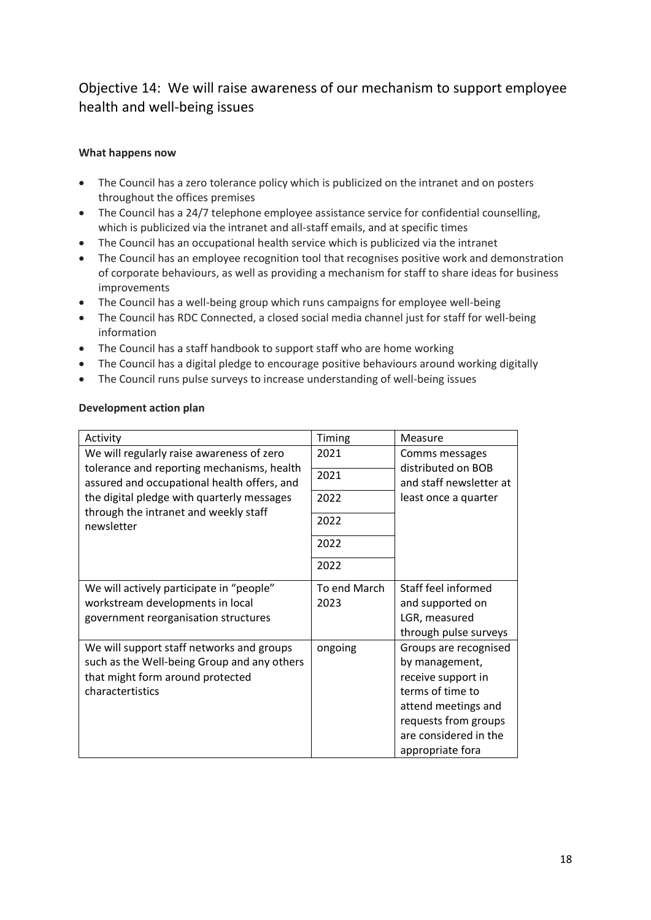### Objective 14: We will raise awareness of our mechanism to support employee health and well-being issues

#### **What happens now**

- The Council has a zero tolerance policy which is publicized on the intranet and on posters throughout the offices premises
- The Council has a 24/7 telephone employee assistance service for confidential counselling, which is publicized via the intranet and all-staff emails, and at specific times
- The Council has an occupational health service which is publicized via the intranet
- The Council has an employee recognition tool that recognises positive work and demonstration of corporate behaviours, as well as providing a mechanism for staff to share ideas for business improvements
- The Council has a well-being group which runs campaigns for employee well-being
- The Council has RDC Connected, a closed social media channel just for staff for well-being information
- The Council has a staff handbook to support staff who are home working
- The Council has a digital pledge to encourage positive behaviours around working digitally
- The Council runs pulse surveys to increase understanding of well-being issues

| <b>Development action plan</b> |  |
|--------------------------------|--|
|                                |  |

| Activity                                                                                  | Timing       | Measure                                       |
|-------------------------------------------------------------------------------------------|--------------|-----------------------------------------------|
| We will regularly raise awareness of zero                                                 | 2021         | Comms messages                                |
| tolerance and reporting mechanisms, health<br>assured and occupational health offers, and | 2021         | distributed on BOB<br>and staff newsletter at |
| the digital pledge with quarterly messages                                                | 2022         | least once a quarter                          |
| through the intranet and weekly staff<br>newsletter                                       | 2022         |                                               |
|                                                                                           | 2022         |                                               |
|                                                                                           | 2022         |                                               |
| We will actively participate in "people"                                                  | To end March | Staff feel informed                           |
| workstream developments in local                                                          | 2023         | and supported on                              |
| government reorganisation structures                                                      |              | LGR, measured                                 |
|                                                                                           |              | through pulse surveys                         |
| We will support staff networks and groups                                                 | ongoing      | Groups are recognised                         |
| such as the Well-being Group and any others                                               |              | by management,                                |
| that might form around protected                                                          |              | receive support in                            |
| charactertistics                                                                          |              | terms of time to                              |
|                                                                                           |              | attend meetings and                           |
|                                                                                           |              | requests from groups                          |
|                                                                                           |              | are considered in the                         |
|                                                                                           |              | appropriate fora                              |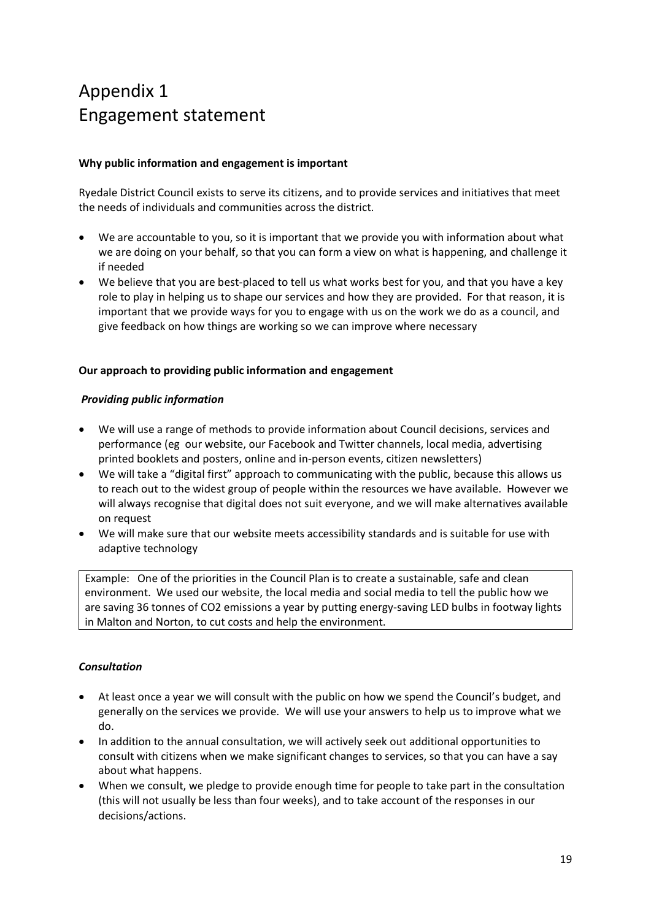## Appendix 1 Engagement statement

#### **Why public information and engagement is important**

Ryedale District Council exists to serve its citizens, and to provide services and initiatives that meet the needs of individuals and communities across the district.

- We are accountable to you, so it is important that we provide you with information about what we are doing on your behalf, so that you can form a view on what is happening, and challenge it if needed
- We believe that you are best-placed to tell us what works best for you, and that you have a key role to play in helping us to shape our services and how they are provided. For that reason, it is important that we provide ways for you to engage with us on the work we do as a council, and give feedback on how things are working so we can improve where necessary

#### **Our approach to providing public information and engagement**

#### *Providing public information*

- We will use a range of methods to provide information about Council decisions, services and performance (eg our website, our Facebook and Twitter channels, local media, advertising printed booklets and posters, online and in-person events, citizen newsletters)
- We will take a "digital first" approach to communicating with the public, because this allows us to reach out to the widest group of people within the resources we have available. However we will always recognise that digital does not suit everyone, and we will make alternatives available on request
- We will make sure that our website meets accessibility standards and is suitable for use with adaptive technology

Example: One of the priorities in the Council Plan is to create a sustainable, safe and clean environment. We used our website, the local media and social media to tell the public how we are saving 36 tonnes of CO2 emissions a year by putting energy-saving LED bulbs in footway lights in Malton and Norton, to cut costs and help the environment.

#### *Consultation*

- At least once a year we will consult with the public on how we spend the Council's budget, and generally on the services we provide. We will use your answers to help us to improve what we do.
- In addition to the annual consultation, we will actively seek out additional opportunities to consult with citizens when we make significant changes to services, so that you can have a say about what happens.
- When we consult, we pledge to provide enough time for people to take part in the consultation (this will not usually be less than four weeks), and to take account of the responses in our decisions/actions.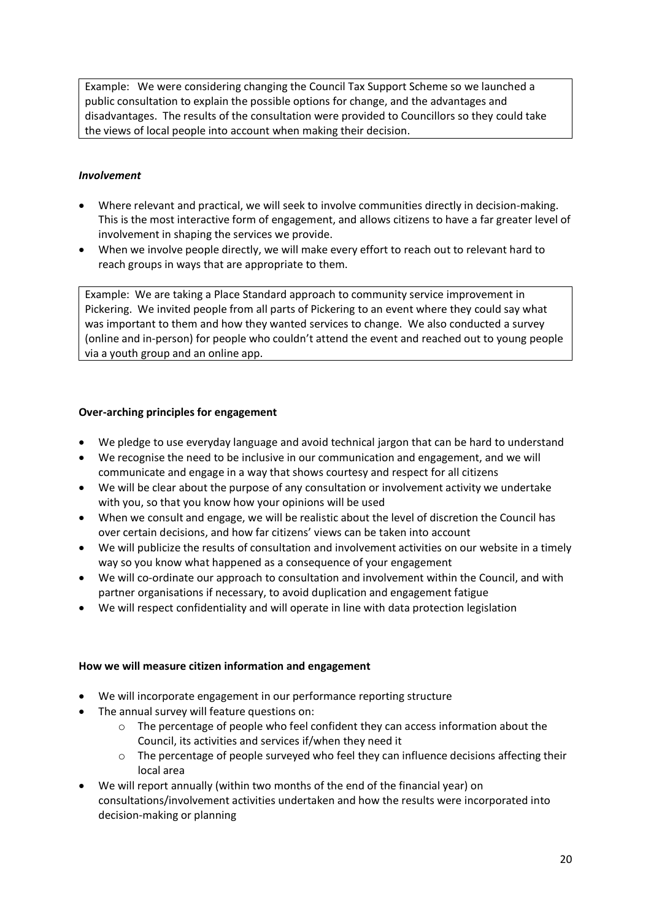Example: We were considering changing the Council Tax Support Scheme so we launched a public consultation to explain the possible options for change, and the advantages and disadvantages. The results of the consultation were provided to Councillors so they could take the views of local people into account when making their decision.

#### *Involvement*

- Where relevant and practical, we will seek to involve communities directly in decision-making. This is the most interactive form of engagement, and allows citizens to have a far greater level of involvement in shaping the services we provide.
- When we involve people directly, we will make every effort to reach out to relevant hard to reach groups in ways that are appropriate to them.

Example: We are taking a Place Standard approach to community service improvement in Pickering. We invited people from all parts of Pickering to an event where they could say what was important to them and how they wanted services to change. We also conducted a survey (online and in-person) for people who couldn't attend the event and reached out to young people via a youth group and an online app.

#### **Over-arching principles for engagement**

- We pledge to use everyday language and avoid technical jargon that can be hard to understand
- We recognise the need to be inclusive in our communication and engagement, and we will communicate and engage in a way that shows courtesy and respect for all citizens
- We will be clear about the purpose of any consultation or involvement activity we undertake with you, so that you know how your opinions will be used
- When we consult and engage, we will be realistic about the level of discretion the Council has over certain decisions, and how far citizens' views can be taken into account
- We will publicize the results of consultation and involvement activities on our website in a timely way so you know what happened as a consequence of your engagement
- We will co-ordinate our approach to consultation and involvement within the Council, and with partner organisations if necessary, to avoid duplication and engagement fatigue
- We will respect confidentiality and will operate in line with data protection legislation

#### **How we will measure citizen information and engagement**

- We will incorporate engagement in our performance reporting structure
- The annual survey will feature questions on:
	- $\circ$  The percentage of people who feel confident they can access information about the Council, its activities and services if/when they need it
	- o The percentage of people surveyed who feel they can influence decisions affecting their local area
- We will report annually (within two months of the end of the financial year) on consultations/involvement activities undertaken and how the results were incorporated into decision-making or planning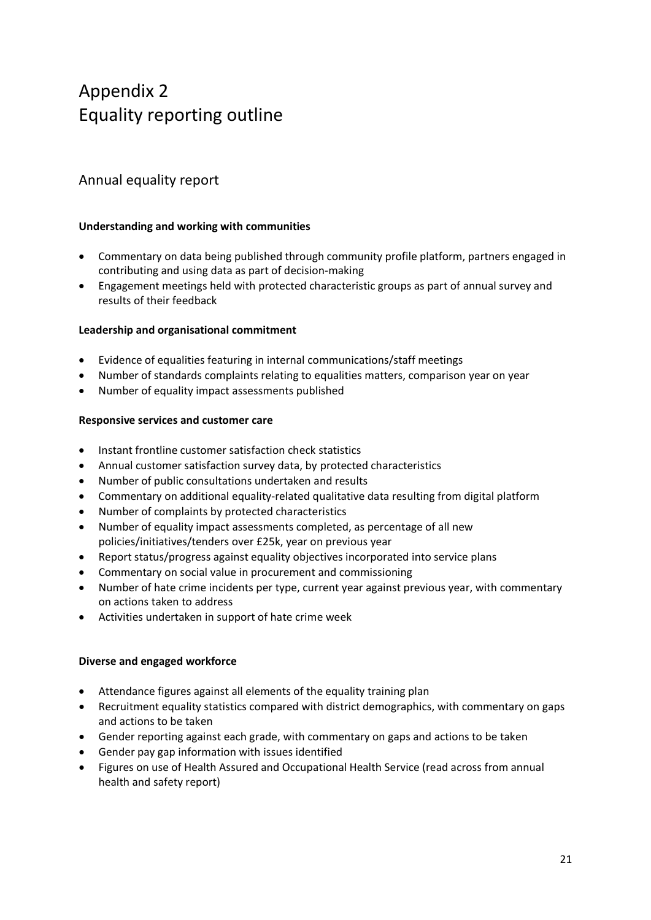## Appendix 2 Equality reporting outline

### Annual equality report

#### **Understanding and working with communities**

- Commentary on data being published through community profile platform, partners engaged in contributing and using data as part of decision-making
- Engagement meetings held with protected characteristic groups as part of annual survey and results of their feedback

#### **Leadership and organisational commitment**

- Evidence of equalities featuring in internal communications/staff meetings
- Number of standards complaints relating to equalities matters, comparison year on year
- Number of equality impact assessments published

#### **Responsive services and customer care**

- Instant frontline customer satisfaction check statistics
- Annual customer satisfaction survey data, by protected characteristics
- Number of public consultations undertaken and results
- Commentary on additional equality-related qualitative data resulting from digital platform
- Number of complaints by protected characteristics
- Number of equality impact assessments completed, as percentage of all new policies/initiatives/tenders over £25k, year on previous year
- Report status/progress against equality objectives incorporated into service plans
- Commentary on social value in procurement and commissioning
- Number of hate crime incidents per type, current year against previous year, with commentary on actions taken to address
- Activities undertaken in support of hate crime week

#### **Diverse and engaged workforce**

- Attendance figures against all elements of the equality training plan
- Recruitment equality statistics compared with district demographics, with commentary on gaps and actions to be taken
- Gender reporting against each grade, with commentary on gaps and actions to be taken
- Gender pay gap information with issues identified
- Figures on use of Health Assured and Occupational Health Service (read across from annual health and safety report)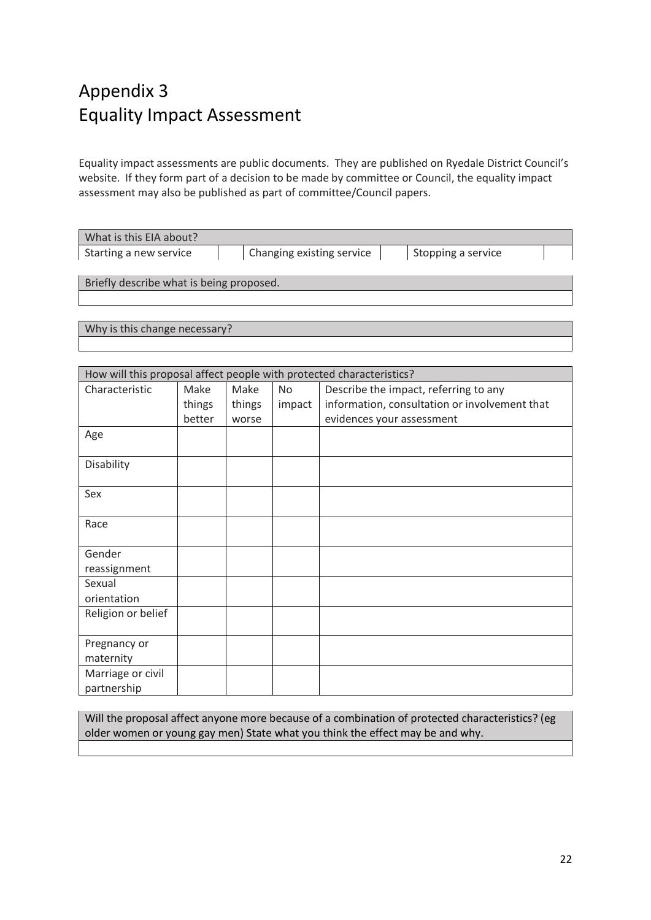## Appendix 3 Equality Impact Assessment

Equality impact assessments are public documents. They are published on Ryedale District Council's website. If they form part of a decision to be made by committee or Council, the equality impact assessment may also be published as part of committee/Council papers.

| What is this EIA about?                  |  |                           |  |                    |  |
|------------------------------------------|--|---------------------------|--|--------------------|--|
| Starting a new service                   |  | Changing existing service |  | Stopping a service |  |
|                                          |  |                           |  |                    |  |
| Briefly describe what is being proposed. |  |                           |  |                    |  |

Why is this change necessary?

| How will this proposal affect people with protected characteristics? |        |        |           |                                               |  |
|----------------------------------------------------------------------|--------|--------|-----------|-----------------------------------------------|--|
| Characteristic                                                       | Make   | Make   | <b>No</b> | Describe the impact, referring to any         |  |
|                                                                      | things | things | impact    | information, consultation or involvement that |  |
|                                                                      | better | worse  |           | evidences your assessment                     |  |
| Age                                                                  |        |        |           |                                               |  |
|                                                                      |        |        |           |                                               |  |
| Disability                                                           |        |        |           |                                               |  |
|                                                                      |        |        |           |                                               |  |
| Sex                                                                  |        |        |           |                                               |  |
|                                                                      |        |        |           |                                               |  |
| Race                                                                 |        |        |           |                                               |  |
|                                                                      |        |        |           |                                               |  |
| Gender                                                               |        |        |           |                                               |  |
| reassignment                                                         |        |        |           |                                               |  |
| Sexual                                                               |        |        |           |                                               |  |
| orientation                                                          |        |        |           |                                               |  |
| Religion or belief                                                   |        |        |           |                                               |  |
|                                                                      |        |        |           |                                               |  |
| Pregnancy or                                                         |        |        |           |                                               |  |
| maternity                                                            |        |        |           |                                               |  |
| Marriage or civil                                                    |        |        |           |                                               |  |
| partnership                                                          |        |        |           |                                               |  |

Will the proposal affect anyone more because of a combination of protected characteristics? (eg older women or young gay men) State what you think the effect may be and why.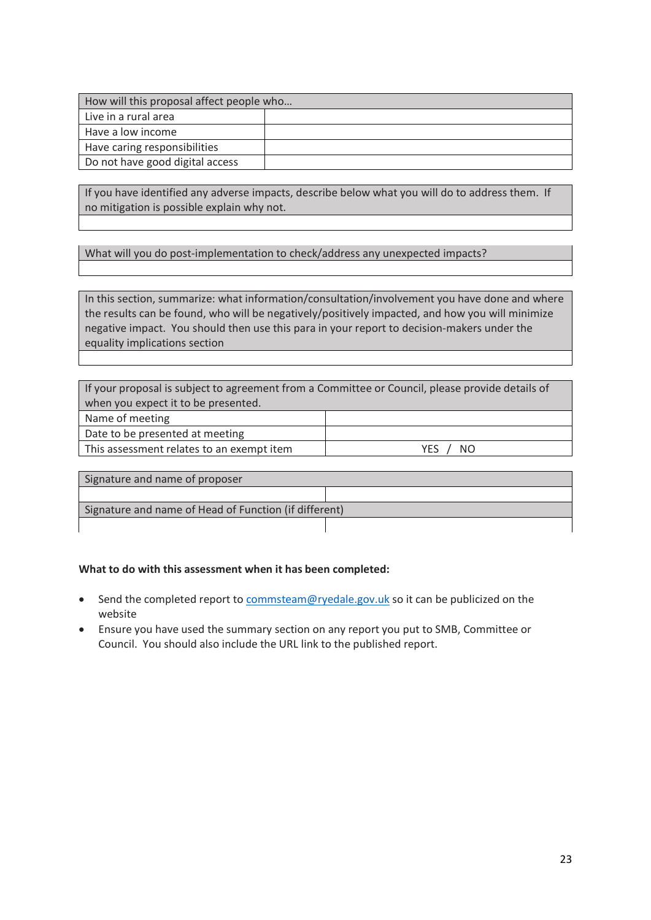| How will this proposal affect people who |  |  |  |
|------------------------------------------|--|--|--|
| Live in a rural area                     |  |  |  |
| Have a low income                        |  |  |  |
| Have caring responsibilities             |  |  |  |
| Do not have good digital access          |  |  |  |

If you have identified any adverse impacts, describe below what you will do to address them. If no mitigation is possible explain why not.

What will you do post-implementation to check/address any unexpected impacts?

In this section, summarize: what information/consultation/involvement you have done and where the results can be found, who will be negatively/positively impacted, and how you will minimize negative impact. You should then use this para in your report to decision-makers under the equality implications section

If your proposal is subject to agreement from a Committee or Council, please provide details of when you expect it to be presented. Name of meeting

Date to be presented at meeting

This assessment relates to an exempt item  $YES / NO$ 

Signature and name of proposer Signature and name of Head of Function (if different)

#### **What to do with this assessment when it has been completed:**

- Send the completed report to [commsteam@ryedale.gov.uk](mailto:commsteam@ryedale.gov.uk) so it can be publicized on the website
- Ensure you have used the summary section on any report you put to SMB, Committee or Council. You should also include the URL link to the published report.